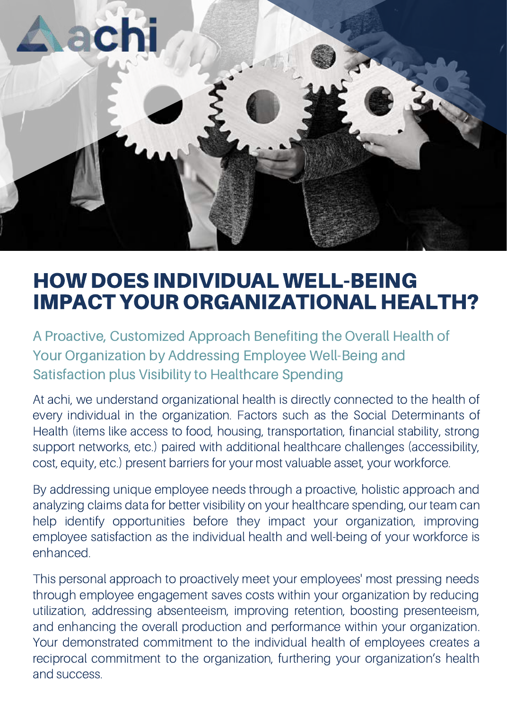

## HOWDOES INDIVIDUALWELL-BEING IMPACT YOUR ORGANIZATIONAL HEALTH?

A Proactive, Customized Approach Benefiting the Overall Health of Your Organization by Addressing Employee Well-Being and Satisfaction plus Visibility to Healthcare Spending

At achi, we understand organizational health is directly connected to the health of every individual in the organization. Factors such as the Social Determinants of Health (items like access to food, housing, transportation, financial stability, strong support networks, etc.) paired with additional healthcare challenges (accessibility, cost, equity, etc.) present barriers for your most valuable asset, your workforce.

By addressing unique employee needs through a proactive, holistic approach and analyzing claims data for better visibility on your healthcare spending, our team can help identify opportunities before they impact your organization, improving employee satisfaction as the individual health and well-being of your workforce is enhanced.

This personal approach to proactively meet your employees' most pressing needs through employee engagement saves costs within your organization by reducing utilization, addressing absenteeism, improving retention, boosting presenteeism, and enhancing the overall production and performance within your organization. Your demonstrated commitment to the individual health of employees creates a reciprocal commitment to the organization, furthering your organization's health and success.